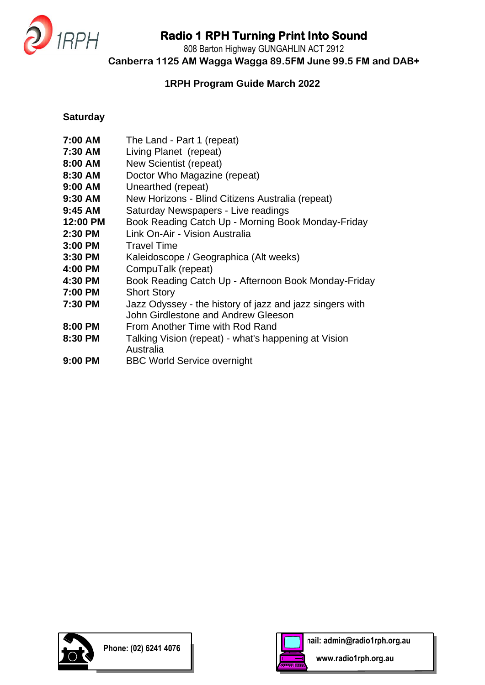

808 Barton Highway GUNGAHLIN ACT 2912

**Canberra 1125 AM Wagga Wagga 89.5FM June 99.5 FM and DAB+**

#### **1RPH Program Guide March 2022**

#### **Saturday**

- **7:00 AM** The Land Part 1 (repeat)
- **7:30 AM** Living Planet (repeat)
- **8:00 AM** New Scientist (repeat)
- **8:30 AM** Doctor Who Magazine (repeat)
- **9:00 AM** Unearthed (repeat)
- **9:30 AM** New Horizons Blind Citizens Australia (repeat)
- **9:45 AM** Saturday Newspapers Live readings
- **12:00 PM** Book Reading Catch Up Morning Book Monday-Friday
- **2:30 PM** Link On-Air Vision Australia
- **3:00 PM** Travel Time
- **3:30 PM** Kaleidoscope / Geographica (Alt weeks)
- **4:00 PM** CompuTalk (repeat)
- **4:30 PM** Book Reading Catch Up Afternoon Book Monday-Friday
- **7:00 PM** Short Story
- **7:30 PM** Jazz Odyssey the history of jazz and jazz singers with John Girdlestone and Andrew Gleeson
- **8:00 PM** From Another Time with Rod Rand
- **8:30 PM** Talking Vision (repeat) what's happening at Vision Australia
- **9:00 PM** BBC World Service overnight



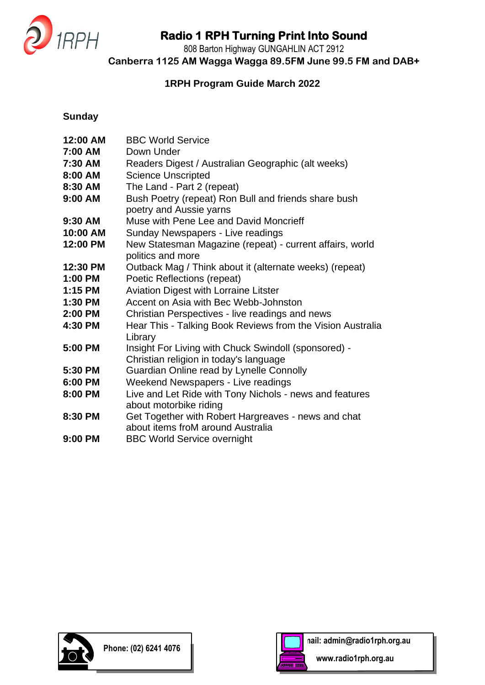

808 Barton Highway GUNGAHLIN ACT 2912

**Canberra 1125 AM Wagga Wagga 89.5FM June 99.5 FM and DAB+**

### **1RPH Program Guide March 2022**

### **Sunday**

| 12:00 AM  | <b>BBC World Service</b>                                                                 |
|-----------|------------------------------------------------------------------------------------------|
| 7:00 AM   | Down Under                                                                               |
| 7:30 AM   | Readers Digest / Australian Geographic (alt weeks)                                       |
| 8:00 AM   | <b>Science Unscripted</b>                                                                |
| 8:30 AM   | The Land - Part 2 (repeat)                                                               |
| 9:00 AM   | Bush Poetry (repeat) Ron Bull and friends share bush<br>poetry and Aussie yarns          |
| 9:30 AM   | Muse with Pene Lee and David Moncrieff                                                   |
| 10:00 AM  | Sunday Newspapers - Live readings                                                        |
| 12:00 PM  | New Statesman Magazine (repeat) - current affairs, world<br>politics and more            |
| 12:30 PM  | Outback Mag / Think about it (alternate weeks) (repeat)                                  |
| 1:00 PM   | Poetic Reflections (repeat)                                                              |
| $1:15$ PM | <b>Aviation Digest with Lorraine Litster</b>                                             |
| $1:30$ PM | Accent on Asia with Bec Webb-Johnston                                                    |
| 2:00 PM   | Christian Perspectives - live readings and news                                          |
| 4:30 PM   | Hear This - Talking Book Reviews from the Vision Australia<br>Library                    |
| 5:00 PM   | Insight For Living with Chuck Swindoll (sponsored) -                                     |
|           | Christian religion in today's language                                                   |
| 5:30 PM   | Guardian Online read by Lynelle Connolly                                                 |
| 6:00 PM   | Weekend Newspapers - Live readings                                                       |
| 8:00 PM   | Live and Let Ride with Tony Nichols - news and features<br>about motorbike riding        |
| 8:30 PM   | Get Together with Robert Hargreaves - news and chat<br>about items froM around Australia |
| 9:00 PM   | <b>BBC World Service overnight</b>                                                       |



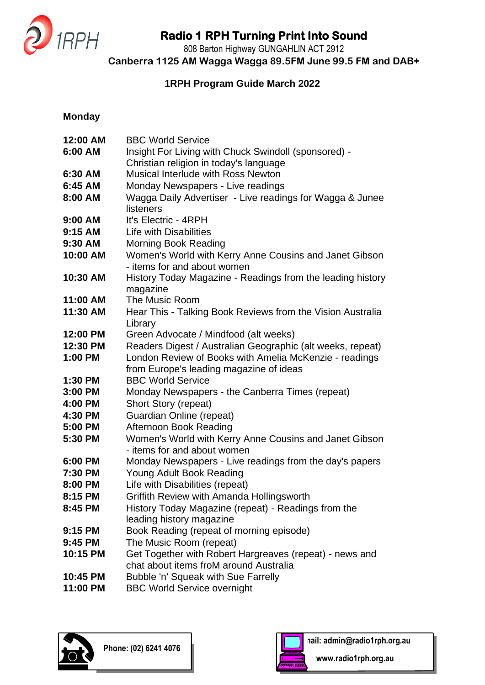

808 Barton Highway GUNGAHLIN ACT 2912

**Canberra 1125 AM Wagga Wagga 89.5FM June 99.5 FM and DAB+**

### **1RPH Program Guide March 2022**

#### **Monday**

| 12:00 AM  | <b>BBC World Service</b>                                                        |
|-----------|---------------------------------------------------------------------------------|
| 6:00 AM   | Insight For Living with Chuck Swindoll (sponsored) -                            |
|           | Christian religion in today's language                                          |
| 6:30 AM   | Musical Interlude with Ross Newton                                              |
| 6:45 AM   | Monday Newspapers - Live readings                                               |
| 8:00 AM   | Wagga Daily Advertiser - Live readings for Wagga & Junee                        |
|           | listeners                                                                       |
| $9:00$ AM | It's Electric - 4RPH                                                            |
| 9:15 AM   | Life with Disabilities                                                          |
| 9:30 AM   | <b>Morning Book Reading</b>                                                     |
| 10:00 AM  | Women's World with Kerry Anne Cousins and Janet Gibson                          |
|           | - items for and about women                                                     |
| 10:30 AM  | History Today Magazine - Readings from the leading history<br>magazine          |
| 11:00 AM  | The Music Room                                                                  |
| 11:30 AM  | Hear This - Talking Book Reviews from the Vision Australia                      |
|           | Library                                                                         |
| 12:00 PM  | Green Advocate / Mindfood (alt weeks)                                           |
| 12:30 PM  | Readers Digest / Australian Geographic (alt weeks, repeat)                      |
| 1:00 PM   | London Review of Books with Amelia McKenzie - readings                          |
|           | from Europe's leading magazine of ideas                                         |
| 1:30 PM   | <b>BBC World Service</b>                                                        |
| 3:00 PM   | Monday Newspapers - the Canberra Times (repeat)                                 |
| 4:00 PM   | Short Story (repeat)                                                            |
| 4:30 PM   | <b>Guardian Online (repeat)</b>                                                 |
| 5:00 PM   | Afternoon Book Reading                                                          |
| 5:30 PM   | Women's World with Kerry Anne Cousins and Janet Gibson                          |
|           | - items for and about women                                                     |
| 6:00 PM   | Monday Newspapers - Live readings from the day's papers                         |
| 7:30 PM   | Young Adult Book Reading                                                        |
| 8:00 PM   | Life with Disabilities (repeat)                                                 |
| 8:15 PM   | Griffith Review with Amanda Hollingsworth                                       |
| 8:45 PM   | History Today Magazine (repeat) - Readings from the<br>leading history magazine |
| 9:15 PM   | Book Reading (repeat of morning episode)                                        |
| 9:45 PM   | The Music Room (repeat)                                                         |
| 10:15 PM  | Get Together with Robert Hargreaves (repeat) - news and                         |
|           | chat about items froM around Australia                                          |
| 10:45 PM  | Bubble 'n' Squeak with Sue Farrelly                                             |
| 11:00 PM  | <b>BBC World Service overnight</b>                                              |
|           |                                                                                 |



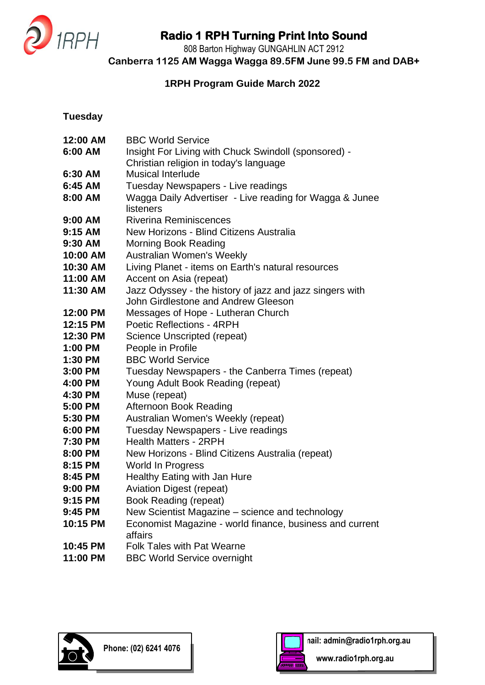

808 Barton Highway GUNGAHLIN ACT 2912

**Canberra 1125 AM Wagga Wagga 89.5FM June 99.5 FM and DAB+**

### **1RPH Program Guide March 2022**

**Tuesday**

| 12:00 AM  | <b>BBC World Service</b>                                 |
|-----------|----------------------------------------------------------|
| 6:00 AM   | Insight For Living with Chuck Swindoll (sponsored) -     |
|           | Christian religion in today's language                   |
| 6:30 AM   | <b>Musical Interlude</b>                                 |
| 6:45 AM   | Tuesday Newspapers - Live readings                       |
| 8:00 AM   | Wagga Daily Advertiser - Live reading for Wagga & Junee  |
|           | listeners                                                |
| $9:00$ AM | <b>Riverina Reminiscences</b>                            |
| 9:15 AM   | New Horizons - Blind Citizens Australia                  |
| 9:30 AM   | <b>Morning Book Reading</b>                              |
| 10:00 AM  | Australian Women's Weekly                                |
| 10:30 AM  | Living Planet - items on Earth's natural resources       |
| 11:00 AM  | Accent on Asia (repeat)                                  |
| 11:30 AM  | Jazz Odyssey - the history of jazz and jazz singers with |
|           | John Girdlestone and Andrew Gleeson                      |
| 12:00 PM  | Messages of Hope - Lutheran Church                       |
| 12:15 PM  | <b>Poetic Reflections - 4RPH</b>                         |
| 12:30 PM  | Science Unscripted (repeat)                              |
| 1:00 PM   | People in Profile                                        |
| 1:30 PM   | <b>BBC World Service</b>                                 |
| 3:00 PM   | Tuesday Newspapers - the Canberra Times (repeat)         |
| 4:00 PM   | Young Adult Book Reading (repeat)                        |
| 4:30 PM   | Muse (repeat)                                            |
| 5:00 PM   | Afternoon Book Reading                                   |
| 5:30 PM   | Australian Women's Weekly (repeat)                       |
| 6:00 PM   | Tuesday Newspapers - Live readings                       |
| 7:30 PM   | <b>Health Matters - 2RPH</b>                             |
| 8:00 PM   | New Horizons - Blind Citizens Australia (repeat)         |
| 8:15 PM   | <b>World In Progress</b>                                 |
| 8:45 PM   | Healthy Eating with Jan Hure                             |
| 9:00 PM   | <b>Aviation Digest (repeat)</b>                          |
| 9:15 PM   | <b>Book Reading (repeat)</b>                             |
| 9:45 PM   | New Scientist Magazine – science and technology          |
| 10:15 PM  | Economist Magazine - world finance, business and current |
|           | affairs                                                  |
| 10:45 PM  | <b>Folk Tales with Pat Wearne</b>                        |
| 11:00 PM  | <b>BBC World Service overnight</b>                       |



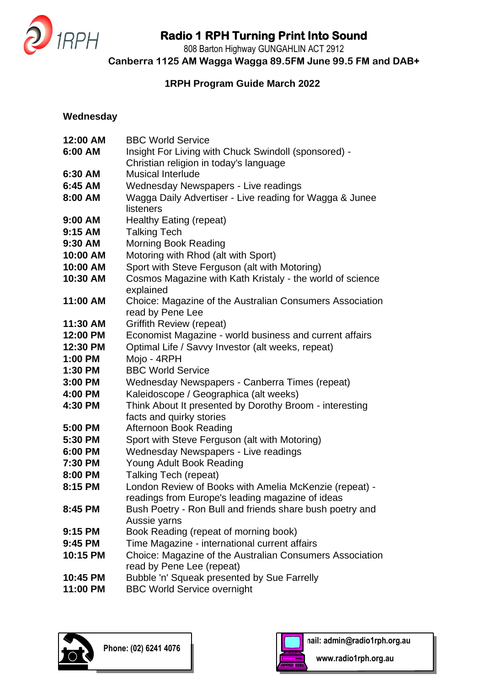

808 Barton Highway GUNGAHLIN ACT 2912

**Canberra 1125 AM Wagga Wagga 89.5FM June 99.5 FM and DAB+**

### **1RPH Program Guide March 2022**

#### **Wednesday**

| 12:00 AM  | <b>BBC World Service</b>                                                     |
|-----------|------------------------------------------------------------------------------|
| 6:00 AM   | Insight For Living with Chuck Swindoll (sponsored) -                         |
|           | Christian religion in today's language                                       |
| 6:30 AM   | <b>Musical Interlude</b>                                                     |
| 6:45 AM   | Wednesday Newspapers - Live readings                                         |
| 8:00 AM   | Wagga Daily Advertiser - Live reading for Wagga & Junee                      |
|           | listeners                                                                    |
| $9:00$ AM | Healthy Eating (repeat)                                                      |
| 9:15 AM   | <b>Talking Tech</b>                                                          |
| 9:30 AM   | <b>Morning Book Reading</b>                                                  |
| 10:00 AM  | Motoring with Rhod (alt with Sport)                                          |
| 10:00 AM  | Sport with Steve Ferguson (alt with Motoring)                                |
| 10:30 AM  | Cosmos Magazine with Kath Kristaly - the world of science<br>explained       |
| 11:00 AM  | Choice: Magazine of the Australian Consumers Association<br>read by Pene Lee |
| 11:30 AM  | <b>Griffith Review (repeat)</b>                                              |
| 12:00 PM  | Economist Magazine - world business and current affairs                      |
| 12:30 PM  | Optimal Life / Savvy Investor (alt weeks, repeat)                            |
| 1:00 PM   | Mojo - 4RPH                                                                  |
| 1:30 PM   | <b>BBC World Service</b>                                                     |
| 3:00 PM   | Wednesday Newspapers - Canberra Times (repeat)                               |
| 4:00 PM   | Kaleidoscope / Geographica (alt weeks)                                       |
| 4:30 PM   | Think About It presented by Dorothy Broom - interesting                      |
|           | facts and quirky stories                                                     |
| 5:00 PM   | Afternoon Book Reading                                                       |
| 5:30 PM   | Sport with Steve Ferguson (alt with Motoring)                                |
| 6:00 PM   | Wednesday Newspapers - Live readings                                         |
| 7:30 PM   | Young Adult Book Reading                                                     |
| 8:00 PM   | <b>Talking Tech (repeat)</b>                                                 |
| 8:15 PM   | London Review of Books with Amelia McKenzie (repeat) -                       |
|           | readings from Europe's leading magazine of ideas                             |
| 8:45 PM   | Bush Poetry - Ron Bull and friends share bush poetry and                     |
|           | Aussie yarns                                                                 |
| 9:15 PM   | Book Reading (repeat of morning book)                                        |
| 9:45 PM   | Time Magazine - international current affairs                                |
| 10:15 PM  | Choice: Magazine of the Australian Consumers Association                     |
|           | read by Pene Lee (repeat)                                                    |
| 10:45 PM  | Bubble 'n' Squeak presented by Sue Farrelly                                  |
| 11:00 PM  | <b>BBC World Service overnight</b>                                           |



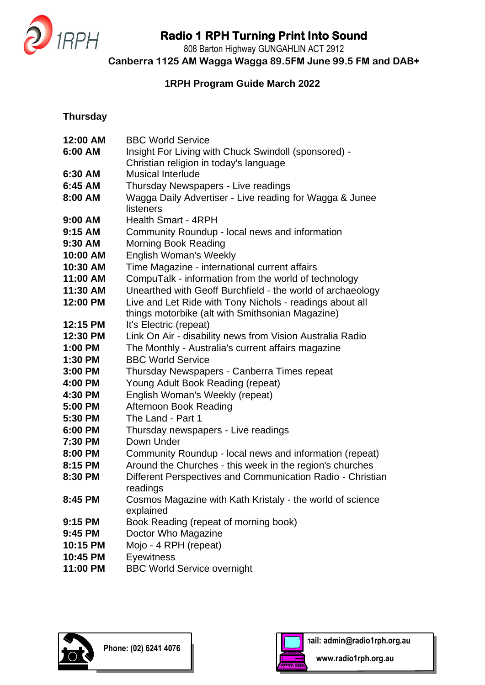

808 Barton Highway GUNGAHLIN ACT 2912

**Canberra 1125 AM Wagga Wagga 89.5FM June 99.5 FM and DAB+**

### **1RPH Program Guide March 2022**

### **Thursday**

| 12:00 AM  | <b>BBC World Service</b>                                   |
|-----------|------------------------------------------------------------|
| 6:00 AM   | Insight For Living with Chuck Swindoll (sponsored) -       |
|           | Christian religion in today's language                     |
| 6:30 AM   | <b>Musical Interlude</b>                                   |
| 6:45 AM   | Thursday Newspapers - Live readings                        |
| 8:00 AM   | Wagga Daily Advertiser - Live reading for Wagga & Junee    |
|           | listeners                                                  |
| $9:00$ AM | <b>Health Smart - 4RPH</b>                                 |
| 9:15 AM   | Community Roundup - local news and information             |
| $9:30$ AM | <b>Morning Book Reading</b>                                |
| 10:00 AM  | <b>English Woman's Weekly</b>                              |
| 10:30 AM  | Time Magazine - international current affairs              |
| 11:00 AM  | CompuTalk - information from the world of technology       |
| 11:30 AM  | Unearthed with Geoff Burchfield - the world of archaeology |
| 12:00 PM  | Live and Let Ride with Tony Nichols - readings about all   |
|           | things motorbike (alt with Smithsonian Magazine)           |
| 12:15 PM  | It's Electric (repeat)                                     |
| 12:30 PM  | Link On Air - disability news from Vision Australia Radio  |
| 1:00 PM   | The Monthly - Australia's current affairs magazine         |
| 1:30 PM   | <b>BBC World Service</b>                                   |
| 3:00 PM   | Thursday Newspapers - Canberra Times repeat                |
| 4:00 PM   | Young Adult Book Reading (repeat)                          |
| 4:30 PM   | English Woman's Weekly (repeat)                            |
| 5:00 PM   | Afternoon Book Reading                                     |
| 5:30 PM   | The Land - Part 1                                          |
| 6:00 PM   | Thursday newspapers - Live readings                        |
| 7:30 PM   | Down Under                                                 |
| 8:00 PM   | Community Roundup - local news and information (repeat)    |
| 8:15 PM   | Around the Churches - this week in the region's churches   |
| 8:30 PM   | Different Perspectives and Communication Radio - Christian |
|           | readings                                                   |
| $8:45$ PM | Cosmos Magazine with Kath Kristaly - the world of science  |
|           | explained                                                  |
| 9:15 PM   | Book Reading (repeat of morning book)                      |
| 9:45 PM   | Doctor Who Magazine                                        |
| 10:15 PM  | Mojo - 4 RPH (repeat)                                      |
| 10:45 PM  | Eyewitness                                                 |
| 11:00 PM  | <b>BBC World Service overnight</b>                         |